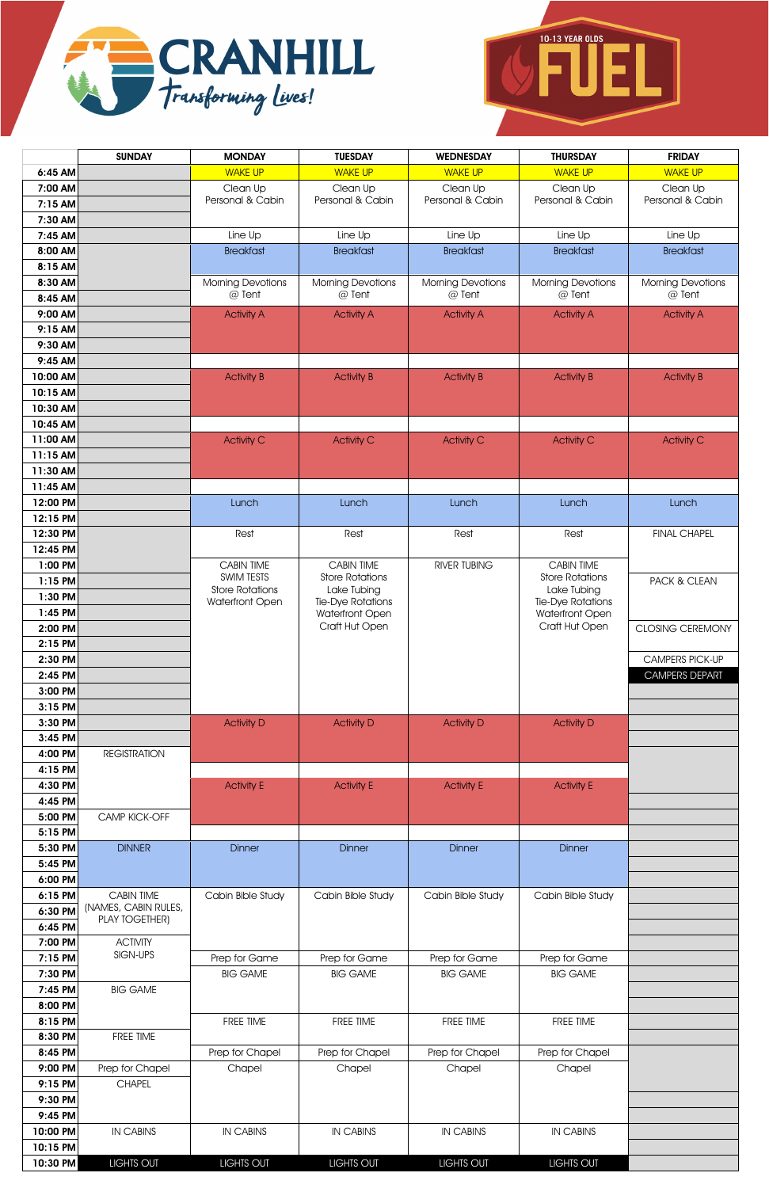



|                      | <b>SUNDAY</b>                                 | <b>MONDAY</b>                   | <b>TUESDAY</b>                              | <b>WEDNESDAY</b>             | <b>THURSDAY</b>                             | <b>FRIDAY</b>                |
|----------------------|-----------------------------------------------|---------------------------------|---------------------------------------------|------------------------------|---------------------------------------------|------------------------------|
| 6:45 AM              |                                               | <b>WAKE UP</b>                  | <b>WAKE UP</b>                              | <b>WAKE UP</b>               | <b>WAKE UP</b>                              | <b>WAKE UP</b>               |
| 7:00 AM              |                                               | Clean Up<br>Personal & Cabin    | Clean Up<br>Personal & Cabin                | Clean Up<br>Personal & Cabin | Clean Up<br>Personal & Cabin                | Clean Up<br>Personal & Cabin |
| 7:15 AM              |                                               |                                 |                                             |                              |                                             |                              |
| 7:30 AM<br>7:45 AM   |                                               | Line Up                         | Line Up                                     | Line Up                      | Line Up                                     | Line Up                      |
| 8:00 AM              |                                               | <b>Breakfast</b>                | <b>Breakfast</b>                            | <b>Breakfast</b>             | <b>Breakfast</b>                            | <b>Breakfast</b>             |
| 8:15 AM              |                                               |                                 |                                             |                              |                                             |                              |
| 8:30 AM              |                                               | <b>Morning Devotions</b>        | <b>Morning Devotions</b>                    | <b>Morning Devotions</b>     | <b>Morning Devotions</b>                    | <b>Morning Devotions</b>     |
| 8:45 AM              |                                               | @ Tent                          | @ Tent                                      | @ Tent                       | @ Tent                                      | @ Tent                       |
| 9:00 AM              |                                               | <b>Activity A</b>               | <b>Activity A</b>                           | <b>Activity A</b>            | <b>Activity A</b>                           | <b>Activity A</b>            |
| 9:15 AM              |                                               |                                 |                                             |                              |                                             |                              |
| 9:30 AM              |                                               |                                 |                                             |                              |                                             |                              |
| 9:45 AM              |                                               |                                 |                                             |                              |                                             |                              |
| 10:00 AM             |                                               | <b>Activity B</b>               | <b>Activity B</b>                           | <b>Activity B</b>            | <b>Activity B</b>                           | <b>Activity B</b>            |
| 10:15 AM             |                                               |                                 |                                             |                              |                                             |                              |
| 10:30 AM<br>10:45 AM |                                               |                                 |                                             |                              |                                             |                              |
| 11:00 AM             |                                               | <b>Activity C</b>               | <b>Activity C</b>                           | <b>Activity C</b>            | <b>Activity C</b>                           | <b>Activity C</b>            |
| 11:15 AM             |                                               |                                 |                                             |                              |                                             |                              |
| 11:30 AM             |                                               |                                 |                                             |                              |                                             |                              |
| 11:45 AM             |                                               |                                 |                                             |                              |                                             |                              |
| 12:00 PM             |                                               | Lunch                           | Lunch                                       | Lunch                        | Lunch                                       | Lunch                        |
| 12:15 PM             |                                               |                                 |                                             |                              |                                             |                              |
| 12:30 PM             |                                               | Rest                            | Rest                                        | Rest                         | Rest                                        | <b>FINAL CHAPEL</b>          |
| 12:45 PM             |                                               |                                 |                                             |                              |                                             |                              |
| 1:00 PM              |                                               | <b>CABIN TIME</b><br>SWIM TESTS | <b>CABIN TIME</b><br><b>Store Rotations</b> | <b>RIVER TUBING</b>          | <b>CABIN TIME</b><br><b>Store Rotations</b> |                              |
| $1:15$ PM            |                                               | <b>Store Rotations</b>          | Lake Tubing                                 |                              | Lake Tubing                                 | PACK & CLEAN                 |
| 1:30 PM              |                                               | Waterfront Open                 | Tie-Dye Rotations                           |                              | Tie-Dye Rotations                           |                              |
| $1:45$ PM<br>2:00 PM |                                               |                                 | Waterfront Open<br>Craft Hut Open           |                              | Waterfront Open<br>Craft Hut Open           | <b>CLOSING CEREMONY</b>      |
| 2:15 PM              |                                               |                                 |                                             |                              |                                             |                              |
| 2:30 PM              |                                               |                                 |                                             |                              |                                             | <b>CAMPERS PICK-UP</b>       |
| 2:45 PM              |                                               |                                 |                                             |                              |                                             | <b>CAMPERS DEPART</b>        |
| 3:00 PM              |                                               |                                 |                                             |                              |                                             |                              |
| 3:15 PM              |                                               |                                 |                                             |                              |                                             |                              |
| 3:30 PM              |                                               | <b>Activity D</b>               | <b>Activity D</b>                           | <b>Activity D</b>            | <b>Activity D</b>                           |                              |
| 3:45 PM              |                                               |                                 |                                             |                              |                                             |                              |
| 4:00 PM              | <b>REGISTRATION</b>                           |                                 |                                             |                              |                                             |                              |
| 4:15 PM              |                                               |                                 |                                             |                              |                                             |                              |
| 4:30 PM              |                                               | <b>Activity E</b>               | <b>Activity E</b>                           | <b>Activity E</b>            | <b>Activity E</b>                           |                              |
| 4:45 PM<br>5:00 PM   | CAMP KICK-OFF                                 |                                 |                                             |                              |                                             |                              |
| 5:15 PM              |                                               |                                 |                                             |                              |                                             |                              |
| 5:30 PM              | <b>DINNER</b>                                 | <b>Dinner</b>                   | <b>Dinner</b>                               | <b>Dinner</b>                | <b>Dinner</b>                               |                              |
| 5:45 PM              |                                               |                                 |                                             |                              |                                             |                              |
| 6:00 PM              |                                               |                                 |                                             |                              |                                             |                              |
| 6:15 PM              | <b>CABIN TIME</b>                             | Cabin Bible Study               | Cabin Bible Study                           | Cabin Bible Study            | Cabin Bible Study                           |                              |
| 6:30 PM              | (NAMES, CABIN RULES,<br><b>PLAY TOGETHER)</b> |                                 |                                             |                              |                                             |                              |
| 6:45 PM              |                                               |                                 |                                             |                              |                                             |                              |
| 7:00 PM              | <b>ACTIVITY</b>                               |                                 |                                             |                              |                                             |                              |
| 7:15 PM              | SIGN-UPS                                      | Prep for Game                   | Prep for Game                               | Prep for Game                | Prep for Game                               |                              |
| 7:30 PM              | <b>BIG GAME</b>                               | <b>BIG GAME</b>                 | <b>BIG GAME</b>                             | <b>BIG GAME</b>              | <b>BIG GAME</b>                             |                              |
| 7:45 PM<br>8:00 PM   |                                               |                                 |                                             |                              |                                             |                              |
| 8:15 PM              |                                               | FREE TIME                       | FREE TIME                                   | FREE TIME                    | FREE TIME                                   |                              |
| 8:30 PM              | FREE TIME                                     |                                 |                                             |                              |                                             |                              |
| 8:45 PM              |                                               | Prep for Chapel                 | Prep for Chapel                             | Prep for Chapel              | Prep for Chapel                             |                              |
| 9:00 PM              | Prep for Chapel                               | Chapel                          | Chapel                                      | Chapel                       | Chapel                                      |                              |
| 9:15 PM              | <b>CHAPEL</b>                                 |                                 |                                             |                              |                                             |                              |
| 9:30 PM              |                                               |                                 |                                             |                              |                                             |                              |
| 9:45 PM              |                                               |                                 |                                             |                              |                                             |                              |
| 10:00 PM             | <b>IN CABINS</b>                              | <b>IN CABINS</b>                | <b>IN CABINS</b>                            | <b>IN CABINS</b>             | IN CABINS                                   |                              |
| 10:15 PM             |                                               |                                 |                                             |                              |                                             |                              |
| 10:30 PM             | LIGHTS OUT                                    | <b>LIGHTS OUT</b>               | <b>LIGHTS OUT</b>                           | LIGHTS OUT                   | <b>LIGHTS OUT</b>                           |                              |